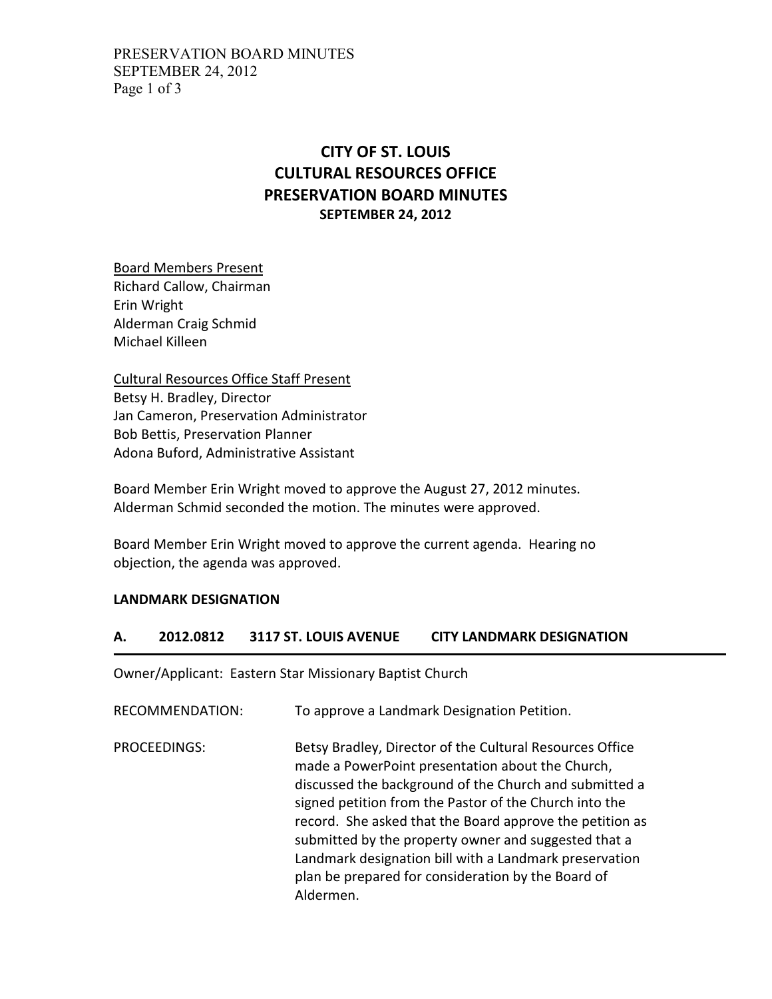## **CITY OF ST. LOUIS CULTURAL RESOURCES OFFICE PRESERVATION BOARD MINUTES SEPTEMBER 24, 2012**

Board Members Present Richard Callow, Chairman Erin Wright Alderman Craig Schmid Michael Killeen

Cultural Resources Office Staff Present Betsy H. Bradley, Director Jan Cameron, Preservation Administrator Bob Bettis, Preservation Planner Adona Buford, Administrative Assistant

Board Member Erin Wright moved to approve the August 27, 2012 minutes. Alderman Schmid seconded the motion. The minutes were approved.

Board Member Erin Wright moved to approve the current agenda. Hearing no objection, the agenda was approved.

## **LANDMARK DESIGNATION**

## **A. 2012.0812 3117 ST. LOUIS AVENUE CITY LANDMARK DESIGNATION**

Owner/Applicant: Eastern Star Missionary Baptist Church

RECOMMENDATION: To approve a Landmark Designation Petition.

PROCEEDINGS: Betsy Bradley, Director of the Cultural Resources Office made a PowerPoint presentation about the Church, discussed the background of the Church and submitted a signed petition from the Pastor of the Church into the record. She asked that the Board approve the petition as submitted by the property owner and suggested that a Landmark designation bill with a Landmark preservation plan be prepared for consideration by the Board of Aldermen.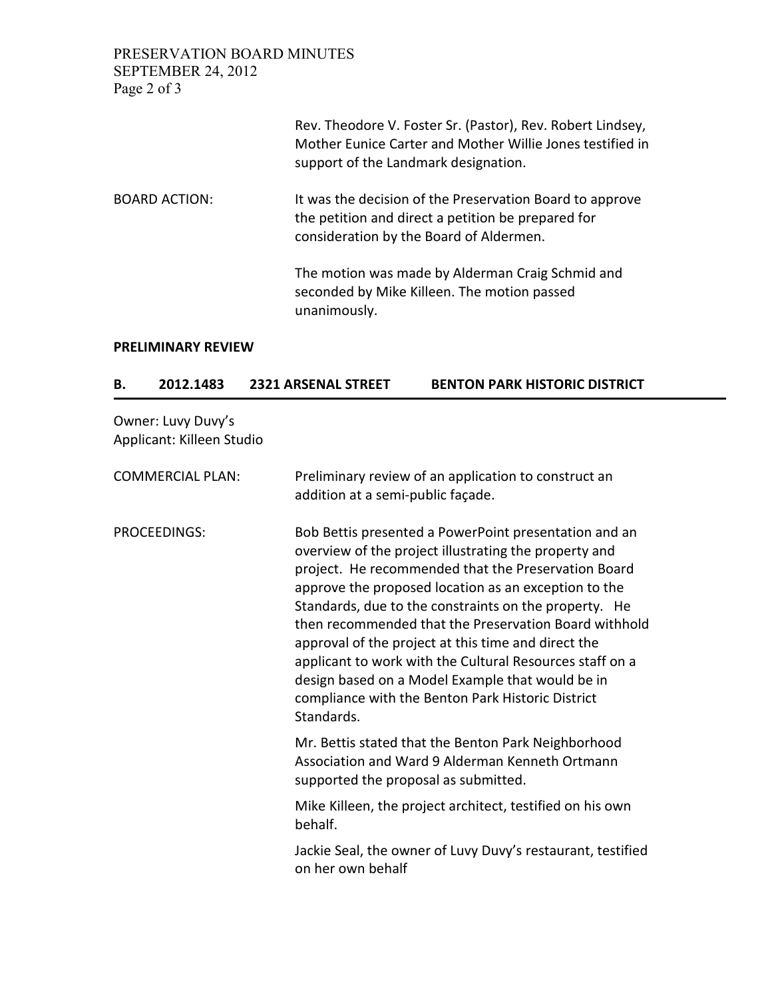PRESERVATION BOARD MINUTES SEPTEMBER 24, 2012 Page 2 of 3

|                      | Rev. Theodore V. Foster Sr. (Pastor), Rev. Robert Lindsey,<br>Mother Eunice Carter and Mother Willie Jones testified in<br>support of the Landmark designation. |
|----------------------|-----------------------------------------------------------------------------------------------------------------------------------------------------------------|
| <b>BOARD ACTION:</b> | It was the decision of the Preservation Board to approve<br>the petition and direct a petition be prepared for<br>consideration by the Board of Aldermen.       |
|                      | The motion was made by Alderman Craig Schmid and<br>seconded by Mike Killeen. The motion passed<br>unanimously.                                                 |

## **PRELIMINARY REVIEW**

| в. | 2012.1483 | <b>2321 ARSENAL STREET</b> | <b>BENTON PARK HISTORIC DISTRICT</b> |
|----|-----------|----------------------------|--------------------------------------|
|    |           |                            |                                      |

Owner: Luvy Duvy's Applicant: Killeen Studio

| <b>COMMERCIAL PLAN:</b> | Preliminary review of an application to construct an<br>addition at a semi-public façade.                                                                                                                                                                                                                                                                                                                                                                                                                                                                                                 |
|-------------------------|-------------------------------------------------------------------------------------------------------------------------------------------------------------------------------------------------------------------------------------------------------------------------------------------------------------------------------------------------------------------------------------------------------------------------------------------------------------------------------------------------------------------------------------------------------------------------------------------|
| <b>PROCEEDINGS:</b>     | Bob Bettis presented a PowerPoint presentation and an<br>overview of the project illustrating the property and<br>project. He recommended that the Preservation Board<br>approve the proposed location as an exception to the<br>Standards, due to the constraints on the property. He<br>then recommended that the Preservation Board withhold<br>approval of the project at this time and direct the<br>applicant to work with the Cultural Resources staff on a<br>design based on a Model Example that would be in<br>compliance with the Benton Park Historic District<br>Standards. |
|                         | Mr. Bettis stated that the Benton Park Neighborhood<br>Association and Ward 9 Alderman Kenneth Ortmann<br>supported the proposal as submitted.                                                                                                                                                                                                                                                                                                                                                                                                                                            |
|                         | Mike Killeen, the project architect, testified on his own<br>behalf.                                                                                                                                                                                                                                                                                                                                                                                                                                                                                                                      |
|                         | Jackie Seal, the owner of Luvy Duvy's restaurant, testified<br>on her own behalf                                                                                                                                                                                                                                                                                                                                                                                                                                                                                                          |